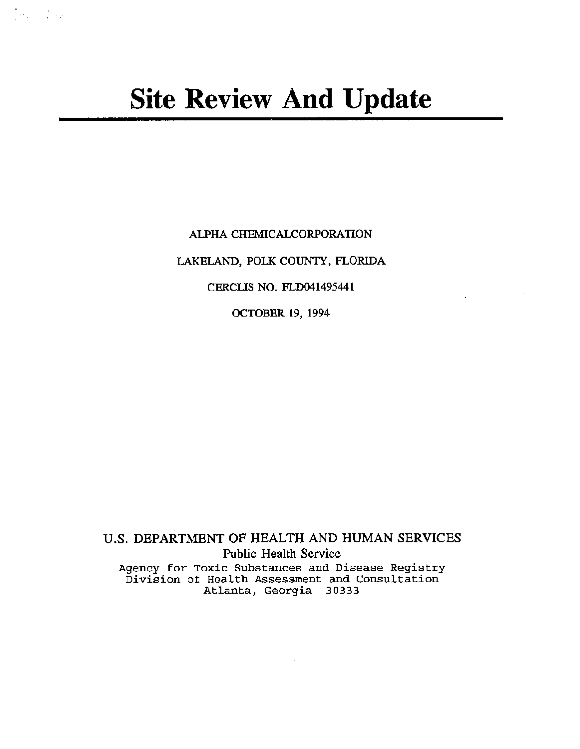# **Site Review And Update**

 $\label{eq:2.1} \frac{1}{2} \sum_{i=1}^n \frac{1}{2} \sum_{i=1}^n \frac{1}{2} \sum_{i=1}^n \frac{1}{2} \sum_{i=1}^n \frac{1}{2} \sum_{i=1}^n \frac{1}{2} \sum_{i=1}^n \frac{1}{2} \sum_{i=1}^n \frac{1}{2} \sum_{i=1}^n \frac{1}{2} \sum_{i=1}^n \frac{1}{2} \sum_{i=1}^n \frac{1}{2} \sum_{i=1}^n \frac{1}{2} \sum_{i=1}^n \frac{1}{2} \sum_{i=1}^n \frac{$ 

ALPHA CHEMICALCORPORATION

LAKELAND, POLK COUNTY, FLORIDA

CERCUS NO. FLD041495441

 $\mathbb{Z}^2$ 

OCTOBER 19, 1994

U.S. DEPARTMENT OF HEALTH AND HUMAN SERVICES Public Health Service Agency for Toxic Substances and Disease Registry Division of Health Assessment and Consultation Atlanta, Georgia 30333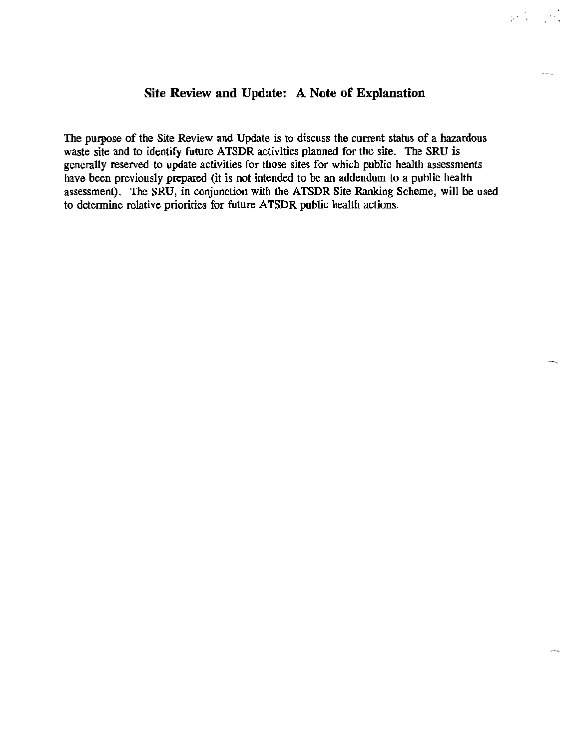#### **Site Review and Update: A Note of Explanation**

 $\mathbf{r} \in \mathbb{R}^{n \times n}$ 

The purpose of the Site Review and Update is to discuss the current status of a hazardous waste site and to identify future ATSDR activities planned for the site. The SRU is generally reserved to update activities for those sites for which public health assessments have been previously prepared (it is not intended to be an addendum to a public health assessment). The SRU, in conjunction with the ATSDR Site Ranking Scheme, will be used to determine relative priorities for future ATSDR public health actions.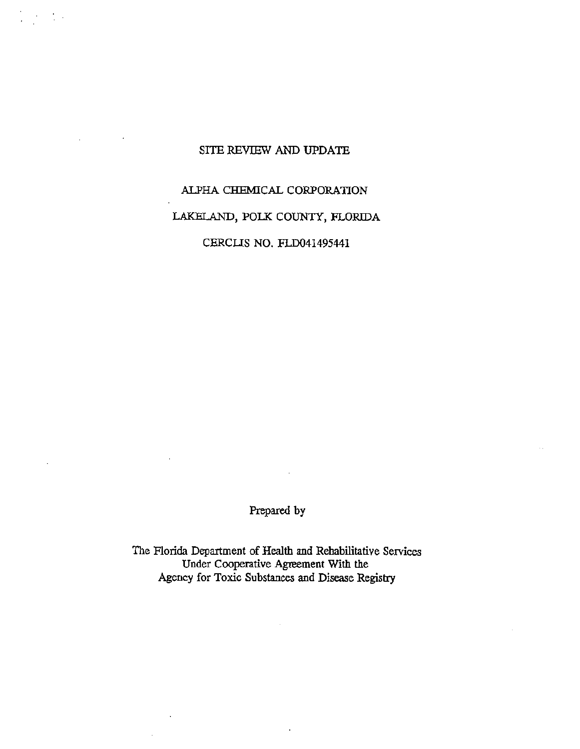#### SITE REVIEW AND UPDATE

 $\mathcal{L} \left( \mathcal{L} \right) = \frac{1}{2} \mathcal{L} \left( \mathcal{L} \right)$ 

## ALPHA CHEMICAL CORPORATION LAKELAND, POLK COUNTY, FLORIDA CERCUS NO. FLD041495441

Prepared by

The Florida Department of Health and Rehabilitative Services Under Cooperative Agreement With the Agency for Toxic Substances and Disease Registry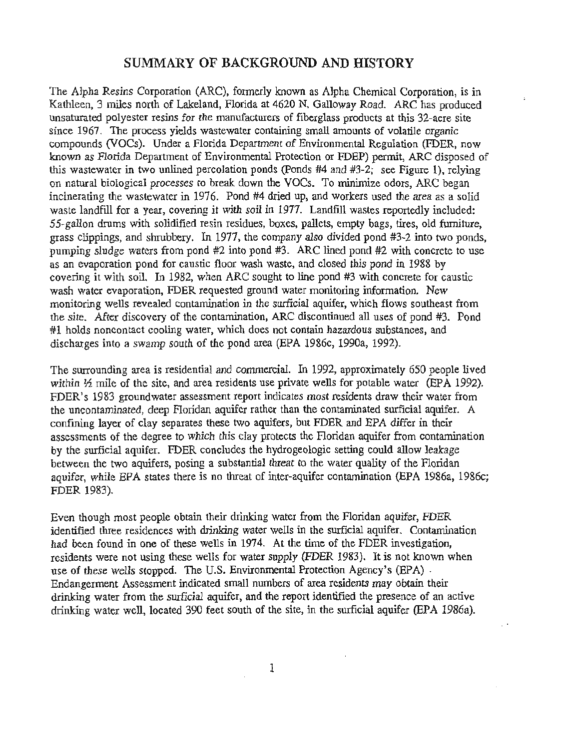#### SUMMARY OF BACKGROUND AND HISTORY

The Alpha Resins Corporation (ARC), formerly known as Alpha Chemical Corporation, is in Kathleen, 3 miles north of Lakeland, Florida at 4620 N. Galloway Road. ARC has produced unsaturated polyester resins for the manufacturers of fiberglass products at this 32-acre site since 1967. The process yields wastewater containing small amounts of volatile organic compounds (VOCs). Under a Florida Department of Environmental Regulation (FDER, now known as Florida Department of Environmental Protection or FDEP) permit, ARC disposed of this wastewater in two unlined percolation ponds (Ponds #4 and #3-2; see Figure 1), relying on natural biological processes to break down the VOCs. To minimize odors, ARC began incinerating the wastewater in 1976. Pond #4 dried up, and workers used the area as a solid waste landfill for a year, covering it with soil in 1977. Landfill wastes reportedly included: 55-gallon drums with solidified resin residues, boxes, pallets, empty bags, tires, old furniture, grass clippings, and shrubbery. In 1977, the company also divided pond #3-2 into two ponds, pumping sludge waters from pond #2 into pond #3. ARC lined pond #2 with concrete to use as an evaporation pond for caustic floor wash waste, and closed this pond in 1988 by covering it with soil. In 1982, when ARC sought to line pond #3 with concrete for caustic wash water evaporation, FDER requested ground water monitoring information. New monitoring wells revealed contamination in the surficial aquifer, which flows southeast from the site. After discovery of the contamination, ARC discontinued all uses of pond #3. Pond #1 holds noncontact cooling water, which does not contain hazardous substances, and discharges into a swamp south of the pond area (EPA 1986c, 1990a, 1992).

The surrounding area is residential and commercial. In 1992, approximately 650 people lived within  $\frac{1}{2}$  mile of the site, and area residents use private wells for potable water (EPA 1992). FDER's 1983 groundwater assessment report indicates most residents draw their water from the uncontaminated, deep Floridan aquifer rather than the contaminated surficial aquifer. A confming layer of clay separates these two aquifers, but FDER and EPA differ in their assessments of the degree to which this clay protects the Floridan aquifer from contamination by the surficial aquifer. FDER concludes the hydrogeologic setting could allow leakage between the two aquifers, posing a substantial threat to the water quality of the Floridan aquifer, while EPA states there is no threat of inter-aquifer contamination (EPA 1986a, 1986c; FDER 1983).

Even though most people obtain their drinking water from the Floridan aquifer, FDER identified three residences with drinking water wells in the surficial aquifer. Contamination had been found in one of these wells in 1974. At the time of the FDER investigation, residents were not using these wells for water supply (FDER 1983). It is not known when use of these wells stopped. The U.S. Environmental Protection Agency's (EPA) . Endangerment Assessment indicated small numbers of area residents may obtain their drinking water from the surficial aquifer, and the report identified the presence of an active drinking water well, located 390 feet south of the site, in the surficial aquifer (EPA 1986a).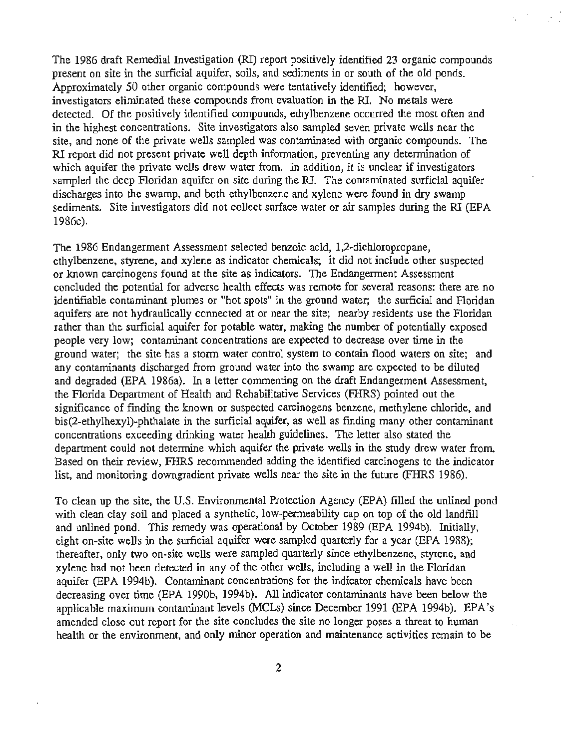The 1986 draft Remedial Investigation (RI) report positively identified 23 organic compounds present on site in the surficial aquifer, soils, and sediments in or south of the old ponds. Approximately 50 other organic compounds were tentatively identified; however, investigators eliminated these compounds from evaluation in the RI. No metals were detected. Of the positively identified compounds, ethylbenzene occurred the most often and in the highest concentrations. Site investigators also sampled seven private wells near the site, and none of the private wells sampled was contaminated with organic compounds. The RI report did not present private well depth information, preventing any determination of which aquifer the private wells drew water from. In addition, it is unclear if investigators sampled the deep Floridan aquifer on site during the RI. The contaminated surficial aquifer discharges into the swamp, and both ethylbenzene and xylene were found in dry swamp sediments. Site investigators did not collect surface water or air samples during the RI (EPA 1986c).

The 1986 Endangerment Assessment selected benzoic acid, 1,2-dichloropropane, ethylbenzene, styrene, and xylene as indicator chemicals; it did not include other suspected or known carcinogens found at the site as indicators. The Endangerment Assessment concluded the potential for adverse health effects was remote for several reasons: there are no identifiable contaminant plumes or "hot spots" in the ground water; the surficial and Floridan aquifers are not hydraulically connected at or near the site; nearby residents use the Floridan rather than the surficial aquifer for potable water, making the number of potentially exposed people very low; contaminant concentrations are expected to decrease over time in the ground water; the site has a storm water control system to contain flood waters on site; and any contaminants discharged from ground water into the swamp are expected to be diluted and degraded (EPA 1986a). In a letter commenting on the draft Endangerment Assessment, the Florida Department of Health and Rehabilitative Services (FHRS) pointed out the significance of fmding the known or suspected carcinogens benzene, methylene chloride, and bis(2-ethylhexyl)-phthalate in the surficial aquifer, as well as fmding many other contaminant concentrations exceeding drinking water health guidelines. The letter also stated the department could not determine which aquifer the private wells in the study drew water from. Based on their review, FHRS recommended adding the identified carcinogens to the indicator list, and monitoring downgradient private wells near the site in the future (FHRS 1986).

To clean up the site, the U.S. Environmental Protection Agency (EPA) filled the unlined pond with clean clay soil and placed a synthetic, low-permeability cap on top of the old landfill and unlined pond. This remedy was operational by October 1989 (EPA 1994b). Initially, eight on-site wells in the surficial aquifer were sampled quarterly for a year (EPA 1988); thereafter, only two on-site wells were sampled quarterly since ethylbenzene, styrene, and xylene had not been detected in any of the other wells, including a well in the Floridan aquifer (EPA 1994b). Contaminant concentrations for the indicator chemicals have been decreasing over time (EPA 1990b, 1994b). All indicator contaminants have been below the applicable maximum contaminant levels (MCLs) since December 1991 (EPA 1994b). EPA's amended close out report for the site concludes the site no longer poses a threat to human health or the environment, and only minor operation and maintenance activities remain to be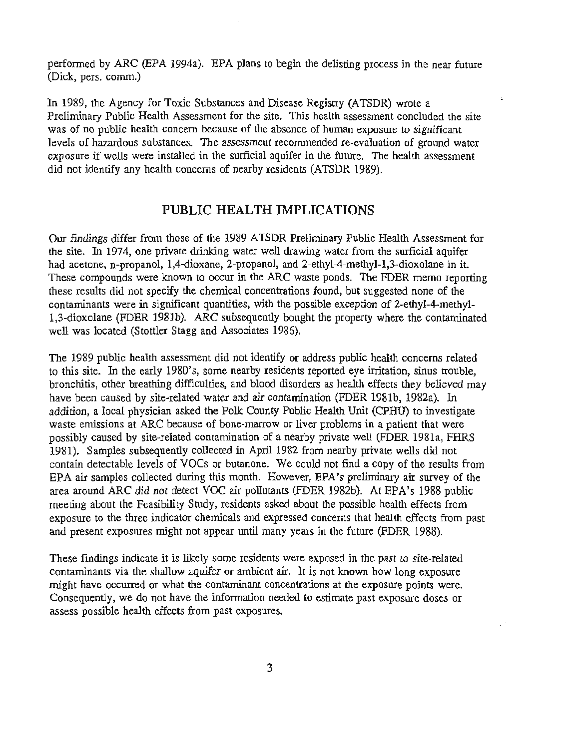performed by ARC (EPA 1994a). EPA plans to begin the delisting process in the near future (Dick, pers. comm.)

i,

In 1989, the Agency for Toxic Substances and Disease Registry (ATSDR) wrote a Preliminary Public Health Assessment for the site. This health assessment concluded the site was of no public health concern because of the absence of human exposure to significant levels of hazardous substances. The assessment recommended re-evaluation of ground water exposure if wells were installed in the surficial aquifer in the future. The health assessment did not identify any health concerns of nearby residents (ATSDR 1989).

#### PUBLIC HEALTH IMPLICATIONS

Our findings differ from those of the 1989 ATSDR Preliminary Public Health Assessment for the site. In 1974, one private drinking water well drawing water from the surficial aquifer had acetone, n-propanol, 1,4-dioxane, 2-propanol, and 2-ethyl-4-methyl-1,3-dioxolane in it. These compounds were known to occur in the ARC waste ponds. The FDER memo reporting these results did not specify the chemical concentrations found, but suggested none of the contaminants were in significant quantities, with the possible exception of 2-ethyl-4-methyl-1,3-dioxolane (FDER 1981b). ARC subsequently bought the property where the contaminated well was located (Stettler Stagg and Associates 1986).

The 1989 public health assessment did not identify or address public health concerns related to this site. In the early 1980's, some nearby residents reported eye irritation, sinus trouble, bronchitis, other breathing difficulties, and blood disorders as health effects they believed may have been caused by site-related water and air contamination (FDER 198lb, 1982a). In addition, a local physician asked the Polk County Public Health Unit (CPHU) to investigate waste emissions at ARC because of bone-marrow or liver problems in a patient that were possibly caused by site-related contamination of a nearby private well (FDER 1981a, FHRS 1981). Samples subsequently collected in April 1982 from nearby private wells did not contain detectable levels of VOCs or butanone. We could not find a copy of the results from EPA air samples collected during this month. However, EPA's preliminary air survey of the area around ARC did not detect VOC air pollutants (FDER 1982b). At EPA's 1988 public meeting about the Feasibility Study, residents asked about the possible health effects from exposure to the three indicator chemicals and expressed concerns that health effects from past and present exposures might not appear until many years in the future (FDER 1988).

These findings indicate it is likely some residents were exposed in the past to site-related contaminants via the shallow aquifer or ambient air. It is not known how long exposure might have occurred or what the contaminant concentrations at the exposure points were. Consequently, we do not have the information needed to estimate past exposure doses or assess possible health effects from past exposures.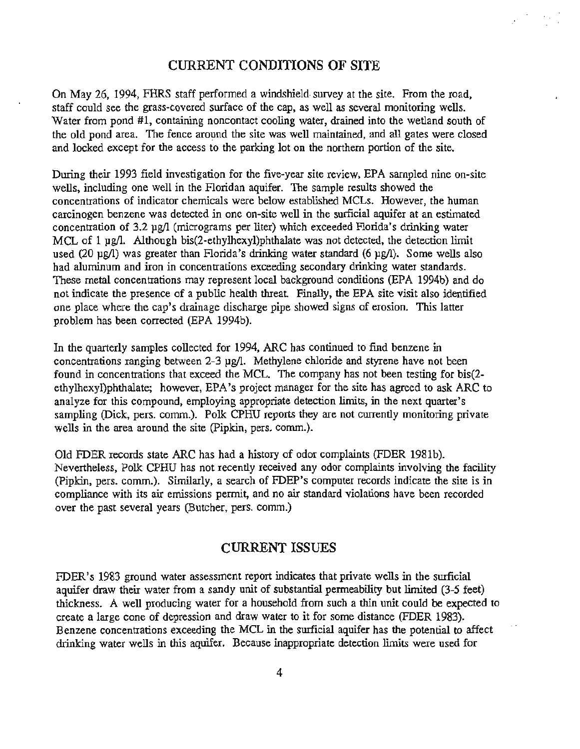#### CURRENT CONDITIONS OF SITE

On May 26, 1994, FHRS staff performed a windshield-survey at the site. From the road, staff could see the grass-covered surface of the cap, as well as several monitoring wells. Water from pond #1, containing noncontact cooling water, drained into the wetland south of the old pond area. The fence around the site was well maintained, and all gates were closed and locked except for the access to the parking lot on the northern portion of the site.

During their 1993 field investigation for the five-year site review, EPA sampled nine on-site wells, including one well in the Floridan aquifer. The sample results showed the concentrations of indicator chemicals were below established MCLs. However, the human carcinogen benzene was detected in one on-site well in the surficial aquifer at an estimated concentration of 3.2 pg/1 (micrograms per liter) which exceeded Florida's drinking water MCL of 1 µg/l. Although bis(2-ethylhexyl)phthalate was not detected, the detection limit used (20 µg/l) was greater than Florida's drinking water standard (6 µg/l). Some wells also had aluminum and iron in concentrations exceeding secondary drinking water standards. These metal concentrations may represent local background conditions (EPA 1994b) and do not indicate the presence of a public health threat Finally, the EPA site visit also identified one place where the cap's drainage discharge pipe showed signs of erosion. This latter problem has been corrected (EPA 1994b).

In the quarterly samples collected for 1994, ARC has continued to find benzene in concentrations ranging between 2-3 pg/1. Methylene chloride and styrene have not been found in concentrations that exceed the MCL. The company has not been testing for bis(2 ethylhexyl)phthalate; however, EPA's project manager for the site has agreed to ask ARC to analyze for this compound, employing appropriate detection limits, in the next quarter's sampling (Dick, pers. comm.). Polk CPHU reports they are not currently monitoring private wells in the area around the site (Pipkin, pers. comm.).

Old FDER records state ARC has had a history of odor complaints (FDER 1981b). Nevertheless, Polk CPHU has not recently received any odor complaints involving the facility (Pipkin, pers. comm.). Similarly, a search of FDEP's computer records indicate the site is in compliance with its air emissions permit, and no air standard violations have been recorded over the past several years (Butcher, pers. comm.)

#### CURRENT ISSUES

FDER's 1983 ground water assessment report indicates that private wells in the surficial aquifer draw their water from a sandy unit of substantial permeability but limited (3-5 feet) thickness. A well producing water for a household from such a thin unit could be expected to create a large cone of depression and draw water to it for some distance (FDER 1983). Benzene concentrations exceeding the MCL in the surficial aquifer has the potential to affect drinking water wells in this aquifer. Because inappropriate detection limits were used for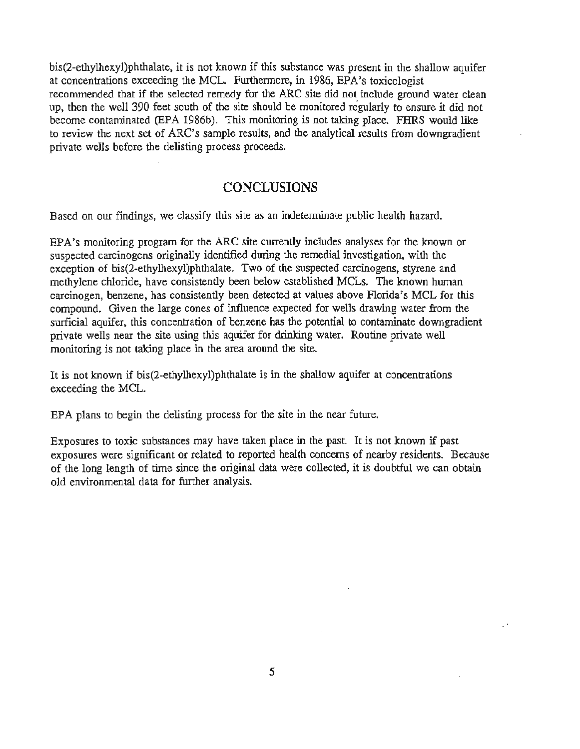bis(2-ethylhexyl)phthalate, it is not known if this substance was present in the shallow aquifer at concentrations exceeding the MCL. Furthennore, in 1986, EPA's toxicologist recommended that if the selected remedy for the ARC site did not include ground water clean up, then the well 390 feet south of the site should be monitored regularly to ensure it did not become contaminated (EPA 1986b). This monitoring is not taking place. FHRS would like to review the next set of ARC's sample results, and the analytical results from downgradient private wells before the delisting process proceeds.

#### **CONCLUSIONS**

Based on our findings, we classify this site as an indeterminate public health hazard.

EPA's monitoring program for the ARC site currently includes analyses for the known or suspected carcinogens originally identified during the remedial investigation, with the exception of bis(2-ethylhexyl)phthalate. Two of the suspected carcinogens, styrene and methylene chloride, have consistently been below established MCLs. The known human carcinogen, benzene, has consistently been detected at values above Florida's MCL for this compound. Given the large cones of influence expected for wells drawing water from the surficial aquifer, this concentration of benzene has the potential to contaminate downgradient private wells near the site using this aquifer for drinking water. Routine private well monitoring is not taking place in the area around the site.

It is not known if bis(2-ethylhexyl)phthalate is in the shallow aquifer at concentrations exceeding the MCL.

EPA plans to begin the delisting process for the site in the near future.

Exposures to toxic substances may have taken place in the past. It is not known if past exposures were significant or related to reported health concerns of nearby residents. Because of the long length of time since the original data were collected, it is doubtful we can obtain old environmental data for further analysis.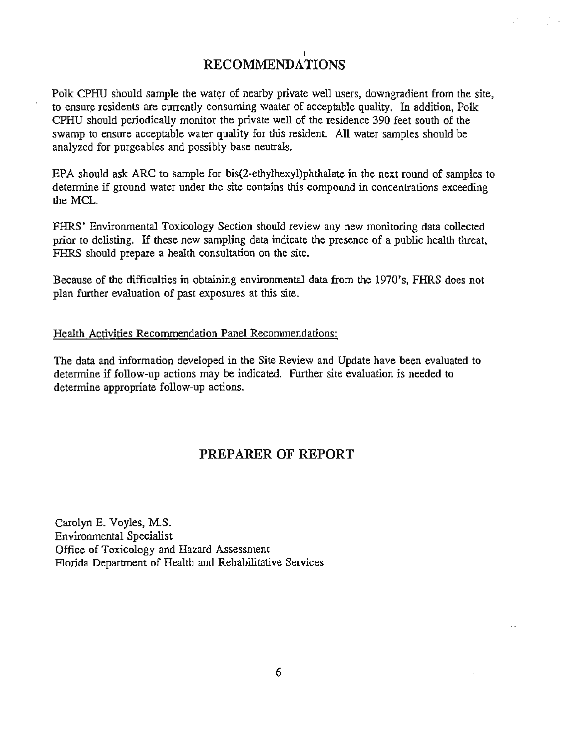### **RECOMMENDATIONS**

Polk CPHU should sample the water of nearby private well users, downgradient from the site, to ensure residents are currently consuming waater of acceptable quality. In addition, Polk CPHU should periodically monitor the private well of the residence 390 feet south of the swamp to ensure acceptable water quality for this resident. All water samples should be analyzed for purgeables and possibly base neutrals.

EPA should ask ARC to sample for bis(2-ethylhexyl)phthalate in the next round of samples to determine if ground water under the site contains this compound in concentrations exceeding the MCL.

FHRS' Environmental Toxicology Section should review any new monitoring data collected prior to delisting. If these new sampling data indicate the presence of a public health threat, FHRS should prepare a health consultation on the site.

Because of the difficulties in obtaining environmental data from the 1970's, FHRS does not plan further evaluation of past exposures at this site.

#### Health Activities Recommendation Panel Recommendations:

The data and information developed in the Site Review and Update have been evaluated to determine if follow-up actions may be indicated. Further site evaluation is needed to detennine appropriate follow-up actions.

#### **PREPARER OF REPORT**

Carolyn E. Voyles, M.S. Environmental Specialist Office of Toxicology and Hazard Assessment Florida Department of Health and Rehabilitative Services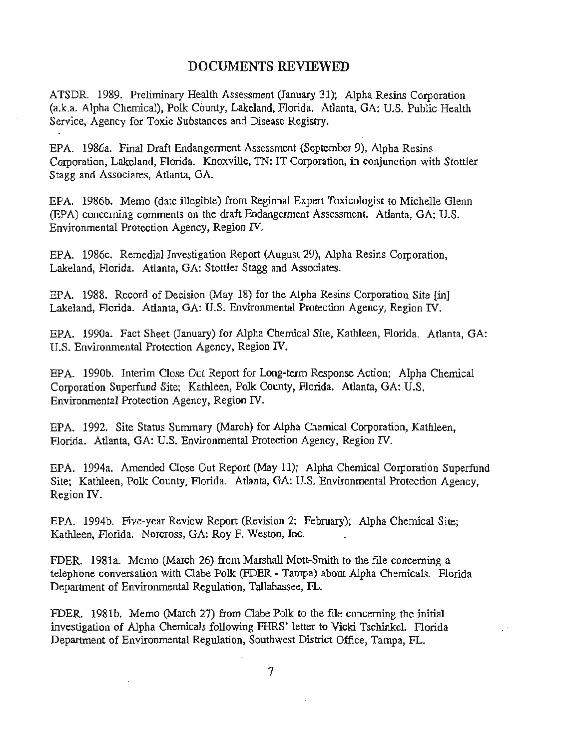#### **DOCUMENTS REVIEWED**

ATSDR. 1989. Preliminary Health Assessment (January 31); Alpha Resins Corporation (a.k.a. Alpha Chemical), Polk County, Lakeland, Florida. Atlanta, GA: U.S. Public Health Service, Agency for Toxic Substances and Disease Registry.

EPA. 1986a. Final Draft Endangerment Assessment (September 9), Alpha Resins Corporation, Lakeland, Florida. Knoxville, TN: IT Corporation, in conjunction with Stettler Stagg and Associates, Atlanta, GA.

EPA. 1986b. Memo (date illegible) from Regional Expert Toxicologist to Michelle Glenn (EPA) concerning comments on the draft Endangerment Assessment. Atlanta, GA: U.S. Environmental Protection Agency, Region IV.

EPA. 1986c. Remedial Investigation Report (August 29), Alpha Resins Corporation, Lakeland, Florida. Atlanta, GA: Stettler Stagg and Associates.

EPA. 1988. Record of Decision (May 18) for the Alpha Resins Corporation Site (in] Lakeland, Florida. Atlanta, GA: U.S. Environmental Protection Agency, Region IV.

EPA. 1990a. Fact Sheet (January) for Alpha Chemical Site, Kathleen, Florida. Atlanta, GA: U.S. Environmental Protection Agency, Region IV.

EPA. 1990b. Interim Close Out Report for Long-term Response Action; Alpha Chemical Corporation Superfund Site; Kathleen, Polk County, Florida. Atlanta, GA: U.S. Environmental Protection Agency, Region IV.

EPA. 1992. Site Status Summary (March) for Alpha Chemical Corporation, Kathleen, Florida. Atlanta, GA: U.S. Environmental Protection Agency, Region IV.

EPA. 1994a. Amended Close Out Report (May 11); Alpha Chemical Corporation Superfund Site; Kathleen, Polk County, Florida. Atlanta, GA: U.S. Environmental Protection Agency, Region IV.

EPA. 1994b. Five-year Review Report (Revision 2; February); Alpha Chemical Site; Kathleen, Florida. Norcross, GA: Roy F. Weston, Inc.

FDER. 1981a. Memo (March 26) from Marshall Matt-Smith to the flle concerning a telephone conversation with Clabe Polk (FDER - Tampa) about Alpha Chemicals. Florida Department of Environmental Regulation, Tallahassee, FL.

FDER. 1981b. Memo (March 27) from Clabe Polk to the file concerning the initial investigation of Alpha Chemicals following FHRS' letter to Vicki Tschinkel. Florida Department of Environmental Regulation, Southwest District Office, Tampa, FL.

7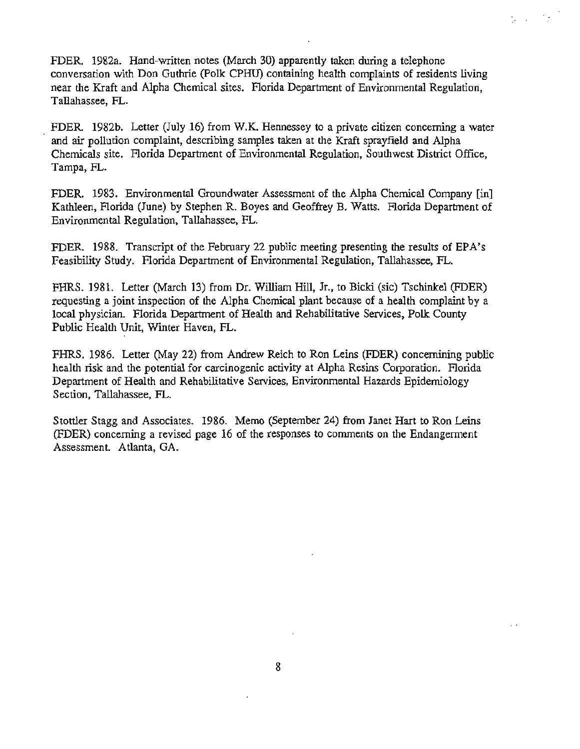FDER. 1982a. Hand-written notes (March 30) apparently taken during a telephone conversation with Don Guthrie (Polk CPHU) containing health complaints of residents living near the Kraft and Alpha Chemical sites. Florida Department of Environmental Regulation, Tallahassee, FL.

 $\mathcal{G}(\mathcal{A}) \cong \mathcal{G}$ 

FDER. 1982b. Letter (July 16) from W.K. Hennessey to a private citizen concerning a water and air pollution complaint, describing samples taken at the Kraft sprayfield and Alpha Chemicals site. Florida Department of Environmental Regulation, Southwest District Office, Tampa, FL.

FDER. 1983. Environmental Groundwater Assessment of the Alpha Chemical Company [in] Kathleen, Florida (June) by Stephen R. Boyes and Geoffrey B. Watts. Florida Department of Environmental Regulation, Tallahassee, FL.

FDER. 1988. Transcript of the February 22 public meeting presenting the results of EPA's Feasibility Study. Florida Department of Environmental Regulation, Tallahassee, FL.

FHRS. 1981. Letter (March 13) from Dr. William Hill, Jr., to Bicki (sic) Tschinkel (FDER) requesting a joint inspection of the Alpha Chemical plant because of a health complaint by a local physician. Florida Department of Health and Rehabilitative Services, Polk County Public Health Unit, Winter Haven, FL.

FHRS. 1986. Letter (May 22) from Andrew Reich to Ron Leins (FDER) concernining public health risk and the potential for carcinogenic activity at Alpha Resins Corporation. Florida Department of Health and Rehabilitative Services, Environmental Hazards Epidemiology Section, Tallahassee, FL.

Stettler Stagg and Associates. 1986. Memo (September 24) from Janet Hart to Ron Leins (FDER) concerning a revised page 16 of the responses to comments on the Endangerment Assessment. Atlanta, GA.